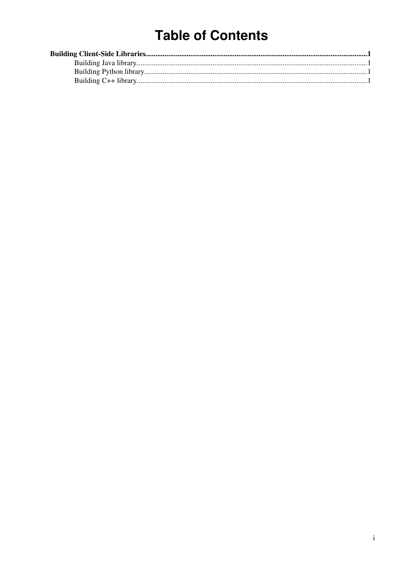# **Table of Contents**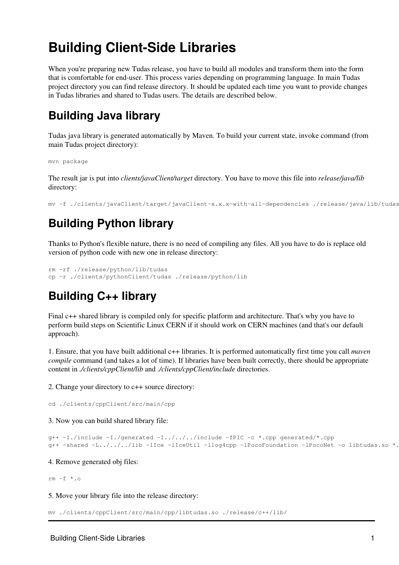# <span id="page-1-0"></span>**Building Client-Side Libraries**

When you're preparing new Tudas release, you have to build all modules and transform them into the form that is comfortable for end-user. This process varies depending on programming language. In main Tudas project directory you can find release directory. It should be updated each time you want to provide changes in Tudas libraries and shared to Tudas users. The details are described below.

## <span id="page-1-1"></span>**Building Java library**

Tudas java library is generated automatically by Maven. To build your current state, invoke command (from main Tudas project directory):

mvn package

The result jar is put into *clients/javaClient/target* directory. You have to move this file into *release/java/lib* directory:

mv -f ./clients/javaClient/target/javaClient-x.x.x-with-all-dependencies ./release/java/lib/tudas.jar

## <span id="page-1-2"></span>**Building Python library**

Thanks to Python's flexible nature, there is no need of compiling any files. All you have to do is replace old version of python code with new one in release directory:

```
rm -rf ./release/python/lib/tudas
cp -r ./clients/pythonClient/tudas ./release/python/lib
```
## <span id="page-1-3"></span>**Building C++ library**

Final c++ shared library is compiled only for specific platform and architecture. That's why you have to perform build steps on Scientific Linux CERN if it should work on CERN machines (and that's our default approach).

1. Ensure, that you have built additional c++ libraries. It is performed automatically first time you call *maven compile* command (and takes a lot of time). If libraries have been built correctly, there should be appropriate content in *./clients/cppClient/lib* and *./clients/cppClient/include* directories.

2. Change your directory to c++ source directory:

cd ./clients/cppClient/src/main/cpp

3. Now you can build shared library file:

```
g++ -I./include -I./generated -I../../../include -fPIC -c *.cpp generated/*.cpp
g++ -shared -L../../../lib -lIce -lIceUtil -llog4cpp -lPocoFoundation -lPocoNet -o libtudas.so *.o
```
4. Remove generated obj files:

rm  $-f * . 0$ 

5. Move your library file into the release directory:

```
mv ./clients/cppClient/src/main/cpp/libtudas.so ./release/c++/lib/
```